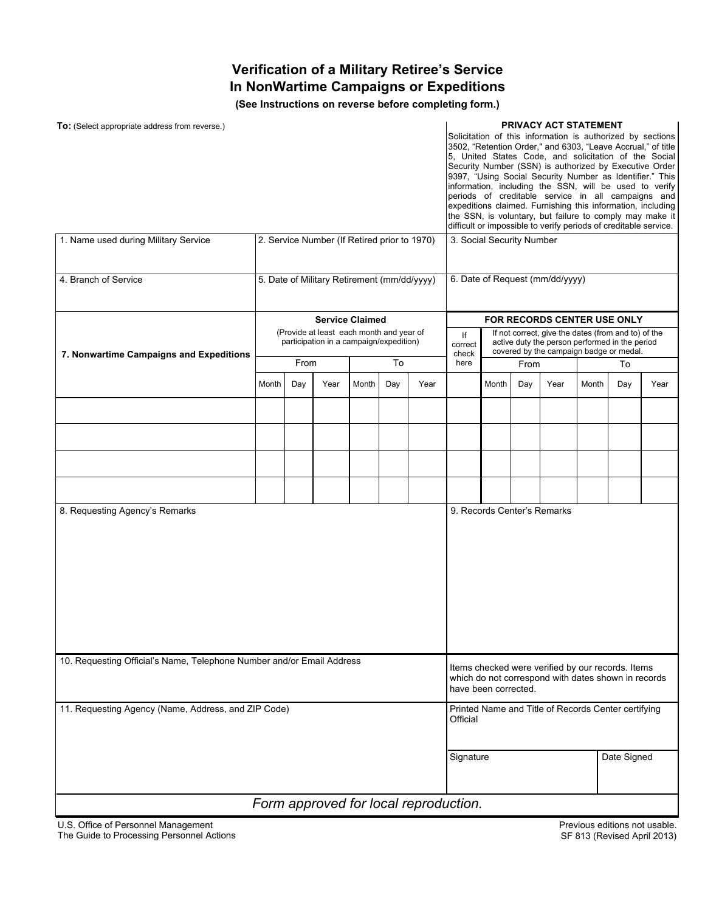## **Verification of a Military Retiree's Service In NonWartime Campaigns or Expeditions**

**(See Instructions on reverse before completing form.)**

| To: (Select appropriate address from reverse.)<br>1. Name used during Military Service |                                                                                     |      |                        |       |     |      |                                                                                                                                  |                                                                                                                                                  | PRIVACY ACT STATEMENT<br>Solicitation of this information is authorized by sections<br>3502, "Retention Order," and 6303, "Leave Accrual," of title<br>5, United States Code, and solicitation of the Social<br>Security Number (SSN) is authorized by Executive Order<br>9397, "Using Social Security Number as Identifier." This<br>information, including the SSN, will be used to verify<br>periods of creditable service in all campaigns and<br>expeditions claimed. Furnishing this information, including<br>the SSN, is voluntary, but failure to comply may make it<br>difficult or impossible to verify periods of creditable service.<br>3. Social Security Number |                             |       |             |      |  |  |
|----------------------------------------------------------------------------------------|-------------------------------------------------------------------------------------|------|------------------------|-------|-----|------|----------------------------------------------------------------------------------------------------------------------------------|--------------------------------------------------------------------------------------------------------------------------------------------------|--------------------------------------------------------------------------------------------------------------------------------------------------------------------------------------------------------------------------------------------------------------------------------------------------------------------------------------------------------------------------------------------------------------------------------------------------------------------------------------------------------------------------------------------------------------------------------------------------------------------------------------------------------------------------------|-----------------------------|-------|-------------|------|--|--|
|                                                                                        | 2. Service Number (If Retired prior to 1970)                                        |      |                        |       |     |      |                                                                                                                                  |                                                                                                                                                  |                                                                                                                                                                                                                                                                                                                                                                                                                                                                                                                                                                                                                                                                                |                             |       |             |      |  |  |
| 4. Branch of Service                                                                   | 5. Date of Military Retirement (mm/dd/yyyy)                                         |      |                        |       |     |      | 6. Date of Request (mm/dd/yyyy)                                                                                                  |                                                                                                                                                  |                                                                                                                                                                                                                                                                                                                                                                                                                                                                                                                                                                                                                                                                                |                             |       |             |      |  |  |
|                                                                                        |                                                                                     |      | <b>Service Claimed</b> |       |     |      | <b>FOR RECORDS CENTER USE ONLY</b>                                                                                               |                                                                                                                                                  |                                                                                                                                                                                                                                                                                                                                                                                                                                                                                                                                                                                                                                                                                |                             |       |             |      |  |  |
| 7. Nonwartime Campaigns and Expeditions                                                | (Provide at least each month and year of<br>participation in a campaign/expedition) |      |                        |       |     |      | lf<br>correct<br>check                                                                                                           | If not correct, give the dates (from and to) of the<br>active duty the person performed in the period<br>covered by the campaign badge or medal. |                                                                                                                                                                                                                                                                                                                                                                                                                                                                                                                                                                                                                                                                                |                             |       |             |      |  |  |
|                                                                                        |                                                                                     | From |                        |       | To  |      | here                                                                                                                             |                                                                                                                                                  | From                                                                                                                                                                                                                                                                                                                                                                                                                                                                                                                                                                                                                                                                           |                             |       | To          |      |  |  |
|                                                                                        | Month                                                                               | Day  | Year                   | Month | Day | Year |                                                                                                                                  | Month                                                                                                                                            | Day                                                                                                                                                                                                                                                                                                                                                                                                                                                                                                                                                                                                                                                                            | Year                        | Month | Day         | Year |  |  |
|                                                                                        |                                                                                     |      |                        |       |     |      |                                                                                                                                  |                                                                                                                                                  |                                                                                                                                                                                                                                                                                                                                                                                                                                                                                                                                                                                                                                                                                |                             |       |             |      |  |  |
|                                                                                        |                                                                                     |      |                        |       |     |      |                                                                                                                                  |                                                                                                                                                  |                                                                                                                                                                                                                                                                                                                                                                                                                                                                                                                                                                                                                                                                                |                             |       |             |      |  |  |
|                                                                                        |                                                                                     |      |                        |       |     |      |                                                                                                                                  |                                                                                                                                                  |                                                                                                                                                                                                                                                                                                                                                                                                                                                                                                                                                                                                                                                                                |                             |       |             |      |  |  |
|                                                                                        |                                                                                     |      |                        |       |     |      |                                                                                                                                  |                                                                                                                                                  |                                                                                                                                                                                                                                                                                                                                                                                                                                                                                                                                                                                                                                                                                |                             |       |             |      |  |  |
| 8. Requesting Agency's Remarks                                                         |                                                                                     |      |                        |       |     |      |                                                                                                                                  |                                                                                                                                                  |                                                                                                                                                                                                                                                                                                                                                                                                                                                                                                                                                                                                                                                                                | 9. Records Center's Remarks |       |             |      |  |  |
| 10. Requesting Official's Name, Telephone Number and/or Email Address                  |                                                                                     |      |                        |       |     |      | Items checked were verified by our records. Items<br>which do not correspond with dates shown in records<br>have been corrected. |                                                                                                                                                  |                                                                                                                                                                                                                                                                                                                                                                                                                                                                                                                                                                                                                                                                                |                             |       |             |      |  |  |
| 11. Requesting Agency (Name, Address, and ZIP Code)                                    |                                                                                     |      |                        |       |     |      |                                                                                                                                  | Printed Name and Title of Records Center certifying<br>Official                                                                                  |                                                                                                                                                                                                                                                                                                                                                                                                                                                                                                                                                                                                                                                                                |                             |       |             |      |  |  |
|                                                                                        |                                                                                     |      |                        |       |     |      | Signature                                                                                                                        |                                                                                                                                                  |                                                                                                                                                                                                                                                                                                                                                                                                                                                                                                                                                                                                                                                                                |                             |       | Date Signed |      |  |  |
| Form approved for local reproduction.                                                  |                                                                                     |      |                        |       |     |      |                                                                                                                                  |                                                                                                                                                  |                                                                                                                                                                                                                                                                                                                                                                                                                                                                                                                                                                                                                                                                                |                             |       |             |      |  |  |

U.S. Office of Personnel Management The Guide to Processing Personnel Actions